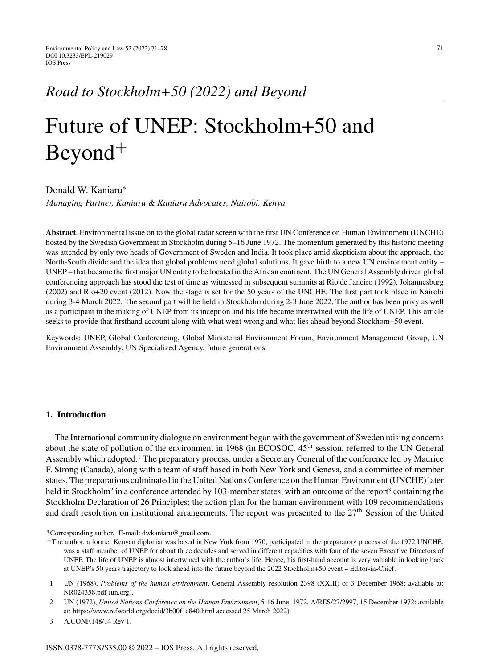# Future of UNEP: Stockholm+50 and Beyond<sup>+</sup>

Donald W. Kaniaru<sup>∗</sup>

*Managing Partner, Kaniaru & Kaniaru Advocates, Nairobi, Kenya*

**Abstract**. Environmental issue on to the global radar screen with the first UN Conference on Human Environment (UNCHE) hosted by the Swedish Government in Stockholm during 5–16 June 1972. The momentum generated by this historic meeting was attended by only two heads of Government of Sweden and India. It took place amid skepticism about the approach, the North-South divide and the idea that global problems need global solutions. It gave birth to a new UN environment entity – UNEP – that became the first major UN entity to be located in the African continent. The UN General Assembly driven global conferencing approach has stood the test of time as witnessed in subsequent summits at Rio de Janeiro (1992), Johannesburg (2002) and Rio+20 event (2012). Now the stage is set for the 50 years of the UNCHE. The first part took place in Nairobi during 3-4 March 2022. The second part will be held in Stockholm during 2-3 June 2022. The author has been privy as well as a participant in the making of UNEP from its inception and his life became intertwined with the life of UNEP. This article seeks to provide that firsthand account along with what went wrong and what lies ahead beyond Stockhom+50 event.

Keywords: UNEP, Global Conferencing, Global Ministerial Environment Forum, Environment Management Group, UN Environment Assembly, UN Specialized Agency, future generations

## **1. Introduction**

The International community dialogue on environment began with the government of Sweden raising concerns about the state of pollution of the environment in 1968 (in ECOSOC, 45<sup>th</sup> session, referred to the UN General Assembly which adopted.<sup>1</sup> The preparatory process, under a Secretary General of the conference led by Maurice F. Strong (Canada), along with a team of staff based in both New York and Geneva, and a committee of member states. The preparations culminated in the United Nations Conference on the Human Environment (UNCHE) later held in Stockholm<sup>2</sup> in a conference attended by 103-member states, with an outcome of the report<sup>3</sup> containing the Stockholm Declaration of 26 Principles; the action plan for the human environment with 109 recommendations and draft resolution on institutional arrangements. The report was presented to the 27<sup>th</sup> Session of the United

3 A.CONF.148/14 Rev 1.

<sup>∗</sup>Corresponding author. E-mail: [dwkaniaru@gmail.com.](mailto:dwkaniaru@gmail.com)

<sup>+</sup>The author, a former Kenyan diplomat was based in New York from 1970, participated in the preparatory process of the 1972 UNCHE, was a staff member of UNEP for about three decades and served in different capacities with four of the seven Executive Directors of UNEP. The life of UNEP is almost intertwined with the author's life. Hence, his first-hand account is very valuable in looking back at UNEP's 50 years trajectory to look ahead into the future beyond the 2022 Stockholm+50 event – Editor-in-Chief.

<sup>1</sup> UN (1968), *Problems of the human environment*, General Assembly resolution 2398 (XXIII) of 3 December 1968; available at: NR024358.pdf (un.org).

<sup>2</sup> UN (1972), *United Nations Conference on the Human Environment*, 5-16 June, 1972, A/RES/27/2997, 15 December 1972; available at:<https://www.refworld.org/docid/3b00f1c840.html> accessed 25 March 2022).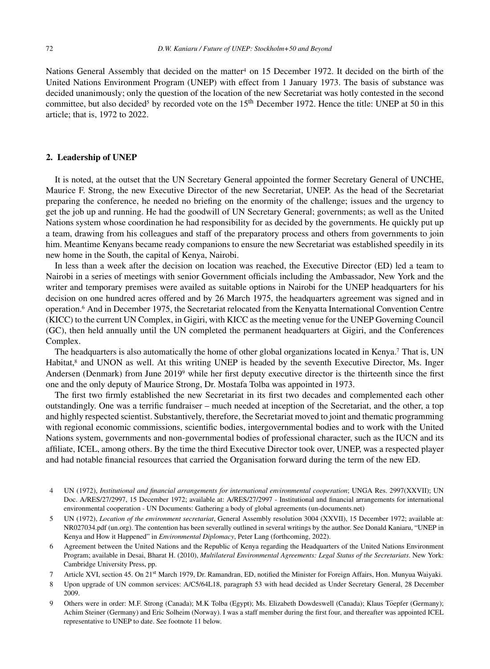Nations General Assembly that decided on the matter<sup>4</sup> on 15 December 1972. It decided on the birth of the United Nations Environment Program (UNEP) with effect from 1 January 1973. The basis of substance was decided unanimously; only the question of the location of the new Secretariat was hotly contested in the second committee, but also decided<sup>5</sup> by recorded vote on the 15<sup>th</sup> December 1972. Hence the title: UNEP at 50 in this article; that is, 1972 to 2022.

## **2. Leadership of UNEP**

It is noted, at the outset that the UN Secretary General appointed the former Secretary General of UNCHE, Maurice F. Strong, the new Executive Director of the new Secretariat, UNEP. As the head of the Secretariat preparing the conference, he needed no briefing on the enormity of the challenge; issues and the urgency to get the job up and running. He had the goodwill of UN Secretary General; governments; as well as the United Nations system whose coordination he had responsibility for as decided by the governments. He quickly put up a team, drawing from his colleagues and staff of the preparatory process and others from governments to join him. Meantime Kenyans became ready companions to ensure the new Secretariat was established speedily in its new home in the South, the capital of Kenya, Nairobi.

In less than a week after the decision on location was reached, the Executive Director (ED) led a team to Nairobi in a series of meetings with senior Government officials including the Ambassador, New York and the writer and temporary premises were availed as suitable options in Nairobi for the UNEP headquarters for his decision on one hundred acres offered and by 26 March 1975, the headquarters agreement was signed and in operation.6 And in December 1975, the Secretariat relocated from the Kenyatta International Convention Centre (KICC) to the current UN Complex, in Gigiri, with KICC as the meeting venue for the UNEP Governing Council (GC), then held annually until the UN completed the permanent headquarters at Gigiri, and the Conferences Complex.

The headquarters is also automatically the home of other global organizations located in Kenya.7 That is, UN Habitat,<sup>8</sup> and UNON as well. At this writing UNEP is headed by the seventh Executive Director, Ms. Inger Andersen (Denmark) from June 20199 while her first deputy executive director is the thirteenth since the first one and the only deputy of Maurice Strong, Dr. Mostafa Tolba was appointed in 1973.

The first two firmly established the new Secretariat in its first two decades and complemented each other outstandingly. One was a terrific fundraiser – much needed at inception of the Secretariat, and the other, a top and highly respected scientist. Substantively, therefore, the Secretariat moved to joint and thematic programming with regional economic commissions, scientific bodies, intergovernmental bodies and to work with the United Nations system, governments and non-governmental bodies of professional character, such as the IUCN and its affiliate, ICEL, among others. By the time the third Executive Director took over, UNEP, was a respected player and had notable financial resources that carried the Organisation forward during the term of the new ED.

- 4 UN (1972), *Institutional and financial arrangements for international environmental cooperation*; UNGA Res. 2997(XXVII); UN Doc. A/RES/27/2997, 15 December 1972; available at: [A/RES/27/2997 - Institutional and financial arrangements for international](A/RES/27/2997 - Institutional and financial arrangements for international environmental cooperation - UN Documents: Gathering a body of global agreements (un-documents.net)) environmental cooperation - UN Documents: Gathering a body of global agreements (un-documents.net)
- 5 UN (1972), *Location of the environment secretariat*, General Assembly resolution 3004 (XXVII), 15 December 1972; available at: NR027034.pdf (un.org). The contention has been severally outlined in several writings by the author. See Donald Kaniaru, "UNEP in Kenya and How it Happened" in *Environmental Diplomacy*, Peter Lang (forthcoming, 2022).
- 6 Agreement between the United Nations and the Republic of Kenya regarding the Headquarters of the United Nations Environment Program; available in Desai, Bharat H. (2010), *Multilateral Environmental Agreements: Legal Status of the Secretariats*. New York: Cambridge University Press, pp.
- 7 Article XVI, section 45. On 21st March 1979, Dr. Ramandran, ED, notified the Minister for Foreign Affairs, Hon. Munyua Waiyaki.
- 8 Upon upgrade of UN common services: A/C5/64L18, paragraph 53 with head decided as Under Secretary General, 28 December 2009.
- 9 Others were in order: M.F. Strong (Canada); M.K Tolba (Egypt); Ms. Elizabeth Dowdeswell (Canada); Klaus Töepfer (Germany); Achim Steiner (Germany) and Eric Solheim (Norway). I was a staff member during the first four, and thereafter was appointed ICEL representative to UNEP to date. See footnote 11 below.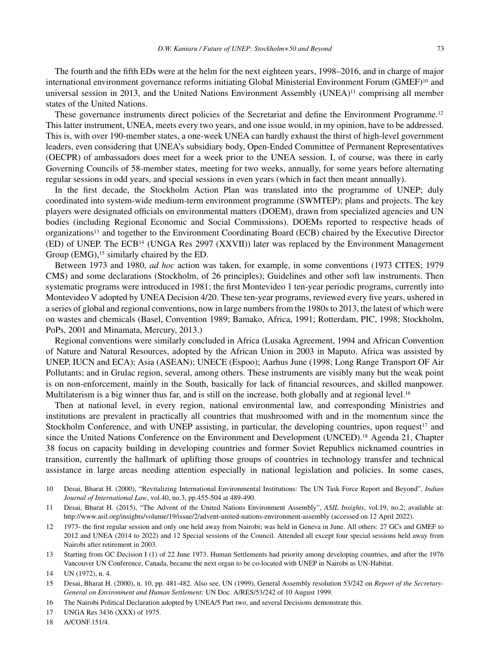The fourth and the fifth EDs were at the helm for the next eighteen years, 1998–2016, and in charge of major international environment governance reforms initiating Global Ministerial Environment Forum (GMEF)<sup>10</sup> and universal session in 2013, and the United Nations Environment Assembly  $(UNEA)^{11}$  comprising all member states of the United Nations.

These governance instruments direct policies of the Secretariat and define the Environment Programme.<sup>12</sup> This latter instrument, UNEA, meets every two years, and one issue would, in my opinion, have to be addressed. This is, with over 190-member states, a one-week UNEA can hardly exhaust the thirst of high-level government leaders, even considering that UNEA's subsidiary body, Open-Ended Committee of Permanent Representatives (OECPR) of ambassadors does meet for a week prior to the UNEA session. I, of course, was there in early Governing Councils of 58-member states, meeting for two weeks, annually, for some years before alternating regular sessions in odd years, and special sessions in even years (which in fact then meant annually).

In the first decade, the Stockholm Action Plan was translated into the programme of UNEP; duly coordinated into system-wide medium-term environment programme (SWMTEP); plans and projects. The key players were designated officials on environmental matters (DOEM), drawn from specialized agencies and UN bodies (including Regional Economic and Social Commissions). DOEMs reported to respective heads of organizations13 and together to the Environment Coordinating Board (ECB) chaired by the Executive Director (ED) of UNEP. The ECB14 (UNGA Res 2997 (XXVII)) later was replaced by the Environment Management Group (EMG),<sup>15</sup> similarly chaired by the ED.

Between 1973 and 1980, *ad hoc* action was taken, for example, in some conventions (1973 CITES; 1979 CMS) and some declarations (Stockholm, of 26 principles); Guidelines and other soft law instruments. Then systematic programs were introduced in 1981; the first Montevideo 1 ten-year periodic programs, currently into Montevideo V adopted by UNEA Decision 4/20. These ten-year programs, reviewed every five years, ushered in a series of global and regional conventions, now in large numbers from the 1980s to 2013, the latest of which were on wastes and chemicals (Basel, Convention 1989; Bamako, Africa, 1991; Rotterdam, PIC, 1998; Stockholm, PoPs, 2001 and Minamata, Mercury, 2013.)

Regional conventions were similarly concluded in Africa (Lusaka Agreement, 1994 and African Convention of Nature and Natural Resources, adopted by the African Union in 2003 in Maputo. Africa was assisted by UNEP, IUCN and ECA); Asia (ASEAN); UNECE (Espoo); Aarhus June (1998; Long Range Transport OF Air Pollutants; and in Grulac region, several, among others. These instruments are visibly many but the weak point is on non-enforcement, mainly in the South, basically for lack of financial resources, and skilled manpower. Multilaterism is a big winner thus far, and is still on the increase, both globally and at regional level.<sup>16</sup>

Then at national level, in every region, national environmental law, and corresponding Ministries and institutions are prevalent in practically all countries that mushroomed with and in the momentum since the Stockholm Conference, and with UNEP assisting, in particular, the developing countries, upon request<sup>17</sup> and since the United Nations Conference on the Environment and Development (UNCED).<sup>18</sup> Agenda 21, Chapter 38 focus on capacity building in developing countries and former Soviet Republics nicknamed countries in transition, currently the hallmark of uplifting those groups of countries in technology transfer and technical assistance in large areas needing attention especially in national legislation and policies. In some cases,

- 10 Desai, Bharat H. (2000), "Revitalizing International Environmental Institutions: The UN Task Force Report and Beyond", *Indian Journal of International Law*, vol.40, no.3, pp.455-504 at 489-490.
- 11 Desai, Bharat H. (2015), "The Advent of the United Nations Environment Assembly", *ASIL Insights*, vol.19, no.2; available at: <http://www.asil.org/insights/volume/19/issue/2/advent-united-nations-environment-assembly> (accessed on 12 April 2022).
- 12 1973- the first regular session and only one held away from Nairobi; was held in Geneva in June. All others: 27 GCs and GMEF to 2012 and UNEA (2014 to 2022) and 12 Special sessions of the Council. Attended all except four special sessions held away from Nairobi after retirement in 2003.
- 13 Starting from GC Decision I (1) of 22 June 1973. Human Settlements had priority among developing countries, and after the 1976 Vancouver UN Conference, Canada, became the next organ to be co-located with UNEP in Nairobi as UN-Habitat.

- 15 Desai, Bharat H. (2000), n. 10, pp. 481-482. Also see, UN (1999), General Assembly resolution 53/242 on *Report of the Secretary-General on Environment and Human Settlement;* UN Doc. A/RES/53/242 of 10 August 1999.
- 16 The Nairobi Political Declaration adopted by UNEA/5 Part two, and several Decisions demonstrate this.
- 17 UNGA Res 3436 (XXX) of 1975.
- 18 A/CONF.151/4.

<sup>14</sup> UN (1972), n. 4.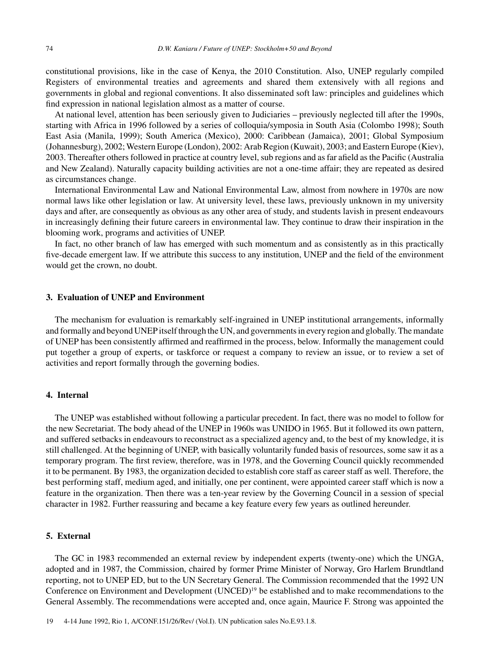constitutional provisions, like in the case of Kenya, the 2010 Constitution. Also, UNEP regularly compiled Registers of environmental treaties and agreements and shared them extensively with all regions and governments in global and regional conventions. It also disseminated soft law: principles and guidelines which find expression in national legislation almost as a matter of course.

At national level, attention has been seriously given to Judiciaries – previously neglected till after the 1990s, starting with Africa in 1996 followed by a series of colloquia/symposia in South Asia (Colombo 1998); South East Asia (Manila, 1999); South America (Mexico), 2000: Caribbean (Jamaica), 2001; Global Symposium (Johannesburg), 2002; Western Europe (London), 2002: Arab Region (Kuwait), 2003; and Eastern Europe (Kiev), 2003. Thereafter others followed in practice at country level, sub regions and as far afield as the Pacific (Australia and New Zealand). Naturally capacity building activities are not a one-time affair; they are repeated as desired as circumstances change.

International Environmental Law and National Environmental Law, almost from nowhere in 1970s are now normal laws like other legislation or law. At university level, these laws, previously unknown in my university days and after, are consequently as obvious as any other area of study, and students lavish in present endeavours in increasingly defining their future careers in environmental law. They continue to draw their inspiration in the blooming work, programs and activities of UNEP.

In fact, no other branch of law has emerged with such momentum and as consistently as in this practically five-decade emergent law. If we attribute this success to any institution, UNEP and the field of the environment would get the crown, no doubt.

### **3. Evaluation of UNEP and Environment**

The mechanism for evaluation is remarkably self-ingrained in UNEP institutional arrangements, informally and formally and beyond UNEP itself through the UN, and governments in every region and globally. The mandate of UNEP has been consistently affirmed and reaffirmed in the process, below. Informally the management could put together a group of experts, or taskforce or request a company to review an issue, or to review a set of activities and report formally through the governing bodies.

# **4. Internal**

The UNEP was established without following a particular precedent. In fact, there was no model to follow for the new Secretariat. The body ahead of the UNEP in 1960s was UNIDO in 1965. But it followed its own pattern, and suffered setbacks in endeavours to reconstruct as a specialized agency and, to the best of my knowledge, it is still challenged. At the beginning of UNEP, with basically voluntarily funded basis of resources, some saw it as a temporary program. The first review, therefore, was in 1978, and the Governing Council quickly recommended it to be permanent. By 1983, the organization decided to establish core staff as career staff as well. Therefore, the best performing staff, medium aged, and initially, one per continent, were appointed career staff which is now a feature in the organization. Then there was a ten-year review by the Governing Council in a session of special character in 1982. Further reassuring and became a key feature every few years as outlined hereunder.

# **5. External**

The GC in 1983 recommended an external review by independent experts (twenty-one) which the UNGA, adopted and in 1987, the Commission, chaired by former Prime Minister of Norway, Gro Harlem Brundtland reporting, not to UNEP ED, but to the UN Secretary General. The Commission recommended that the 1992 UN Conference on Environment and Development (UNCED)19 be established and to make recommendations to the General Assembly. The recommendations were accepted and, once again, Maurice F. Strong was appointed the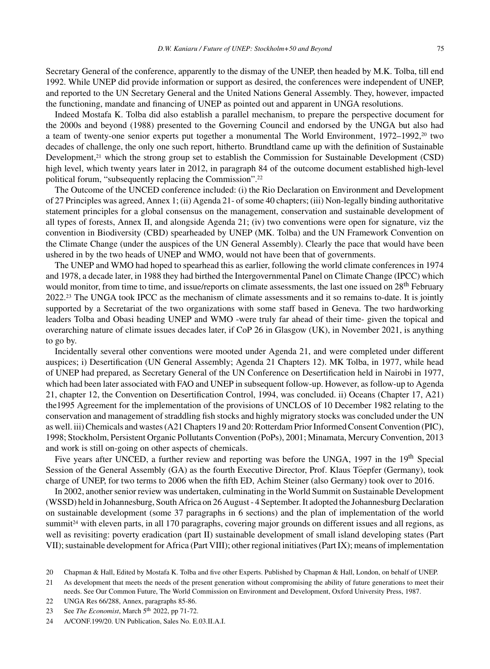Secretary General of the conference, apparently to the dismay of the UNEP, then headed by M.K. Tolba, till end 1992. While UNEP did provide information or support as desired, the conferences were independent of UNEP, and reported to the UN Secretary General and the United Nations General Assembly. They, however, impacted the functioning, mandate and financing of UNEP as pointed out and apparent in UNGA resolutions.

Indeed Mostafa K. Tolba did also establish a parallel mechanism, to prepare the perspective document for the 2000s and beyond (1988) presented to the Governing Council and endorsed by the UNGA but also had a team of twenty-one senior experts put together a monumental The World Environment, 1972–1992,<sup>20</sup> two decades of challenge, the only one such report, hitherto. Brundtland came up with the definition of Sustainable Development,<sup>21</sup> which the strong group set to establish the Commission for Sustainable Development (CSD) high level, which twenty years later in 2012, in paragraph 84 of the outcome document established high-level political forum, "subsequently replacing the Commission".22

The Outcome of the UNCED conference included: (i) the Rio Declaration on Environment and Development of 27 Principles was agreed, Annex 1; (ii) Agenda 21- of some 40 chapters; (iii) Non-legally binding authoritative statement principles for a global consensus on the management, conservation and sustainable development of all types of forests, Annex II, and alongside Agenda 21; (iv) two conventions were open for signature, viz the convention in Biodiversity (CBD) spearheaded by UNEP (MK. Tolba) and the UN Framework Convention on the Climate Change (under the auspices of the UN General Assembly). Clearly the pace that would have been ushered in by the two heads of UNEP and WMO, would not have been that of governments.

The UNEP and WMO had hoped to spearhead this as earlier, following the world climate conferences in 1974 and 1978, a decade later, in 1988 they had birthed the Intergovernmental Panel on Climate Change (IPCC) which would monitor, from time to time, and issue/reports on climate assessments, the last one issued on 28<sup>th</sup> February 2022.23 The UNGA took IPCC as the mechanism of climate assessments and it so remains to-date. It is jointly supported by a Secretariat of the two organizations with some staff based in Geneva. The two hardworking leaders Tolba and Obasi heading UNEP and WMO -were truly far ahead of their time- given the topical and overarching nature of climate issues decades later, if CoP 26 in Glasgow (UK), in November 2021, is anything to go by.

Incidentally several other conventions were mooted under Agenda 21, and were completed under different auspices; i) Desertification (UN General Assembly; Agenda 21 Chapters 12). MK Tolba, in 1977, while head of UNEP had prepared, as Secretary General of the UN Conference on Desertification held in Nairobi in 1977, which had been later associated with FAO and UNEP in subsequent follow-up. However, as follow-up to Agenda 21, chapter 12, the Convention on Desertification Control, 1994, was concluded. ii) Oceans (Chapter 17, A21) the1995 Agreement for the implementation of the provisions of UNCLOS of 10 December 1982 relating to the conservation and management of straddling fish stocks and highly migratory stocks was concluded under the UN as well. iii) Chemicals and wastes (A21 Chapters 19 and 20: Rotterdam Prior Informed Consent Convention (PIC), 1998; Stockholm, Persistent Organic Pollutants Convention (PoPs), 2001; Minamata, Mercury Convention, 2013 and work is still on-going on other aspects of chemicals.

Five years after UNCED, a further review and reporting was before the UNGA, 1997 in the 19<sup>th</sup> Special Session of the General Assembly (GA) as the fourth Executive Director, Prof. Klaus Töepfer (Germany), took charge of UNEP, for two terms to 2006 when the fifth ED, Achim Steiner (also Germany) took over to 2016.

In 2002, another senior review was undertaken, culminating in the World Summit on Sustainable Development (WSSD) held in Johannesburg, South Africa on 26 August - 4 September. It adopted the Johannesburg Declaration on sustainable development (some 37 paragraphs in 6 sections) and the plan of implementation of the world summit<sup>24</sup> with eleven parts, in all 170 paragraphs, covering major grounds on different issues and all regions, as well as revisiting: poverty eradication (part II) sustainable development of small island developing states (Part VII); sustainable development for Africa (Part VIII); other regional initiatives (Part IX); means of implementation

22 UNGA Res 66/288, Annex, paragraphs 85-86.

<sup>20</sup> Chapman & Hall, Edited by Mostafa K. Tolba and five other Experts. Published by Chapman & Hall, London, on behalf of UNEP.

<sup>21</sup> As development that meets the needs of the present generation without compromising the ability of future generations to meet their needs. See Our Common Future, The World Commission on Environment and Development, Oxford University Press, 1987.

<sup>23</sup> See *The Economist*, March 5<sup>th</sup> 2022, pp 71-72.

<sup>24</sup> A/CONF.199/20. UN Publication, Sales No. E.03.II.A.I.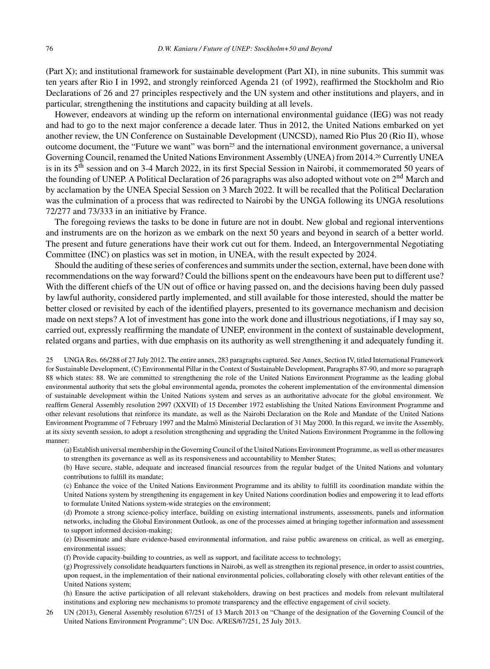(Part X); and institutional framework for sustainable development (Part XI), in nine subunits. This summit was ten years after Rio I in 1992, and strongly reinforced Agenda 21 (of 1992), reaffirmed the Stockholm and Rio Declarations of 26 and 27 principles respectively and the UN system and other institutions and players, and in particular, strengthening the institutions and capacity building at all levels.

However, endeavors at winding up the reform on international environmental guidance (IEG) was not ready and had to go to the next major conference a decade later. Thus in 2012, the United Nations embarked on yet another review, the UN Conference on Sustainable Development (UNCSD), named Rio Plus 20 (Rio II), whose outcome document, the "Future we want" was born<sup>25</sup> and the international environment governance, a universal Governing Council, renamed the United Nations Environment Assembly (UNEA) from 2014.26 Currently UNEA is in its 5th session and on 3-4 March 2022, in its first Special Session in Nairobi, it commemorated 50 years of the founding of UNEP. A Political Declaration of 26 paragraphs was also adopted without vote on 2<sup>nd</sup> March and by acclamation by the UNEA Special Session on 3 March 2022. It will be recalled that the Political Declaration was the culmination of a process that was redirected to Nairobi by the UNGA following its UNGA resolutions 72/277 and 73/333 in an initiative by France.

The foregoing reviews the tasks to be done in future are not in doubt. New global and regional interventions and instruments are on the horizon as we embark on the next 50 years and beyond in search of a better world. The present and future generations have their work cut out for them. Indeed, an Intergovernmental Negotiating Committee (INC) on plastics was set in motion, in UNEA, with the result expected by 2024.

Should the auditing of these series of conferences and summits under the section, external, have been done with recommendations on the way forward? Could the billions spent on the endeavours have been put to different use? With the different chiefs of the UN out of office or having passed on, and the decisions having been duly passed by lawful authority, considered partly implemented, and still available for those interested, should the matter be better closed or revisited by each of the identified players, presented to its governance mechanism and decision made on next steps? A lot of investment has gone into the work done and illustrious negotiations, if I may say so, carried out, expressly reaffirming the mandate of UNEP, environment in the context of sustainable development, related organs and parties, with due emphasis on its authority as well strengthening it and adequately funding it.

25 UNGA Res. 66/288 of 27 July 2012. The entire annex, 283 paragraphs captured. See Annex, Section IV, titled International Framework for Sustainable Development, (C) Environmental Pillar in the Context of Sustainable Development, Paragraphs 87-90, and more so paragraph 88 which states: 88. We are committed to strengthening the role of the United Nations Environment Programme as the leading global environmental authority that sets the global environmental agenda, promotes the coherent implementation of the environmental dimension of sustainable development within the United Nations system and serves as an authoritative advocate for the global environment. We reaffirm General Assembly resolution 2997 (XXVII) of 15 December 1972 establishing the United Nations Environment Programme and other relevant resolutions that reinforce its mandate, as well as the Nairobi Declaration on the Role and Mandate of the United Nations Environment Programme of 7 February 1997 and the Malmö Ministerial Declaration of 31 May 2000. In this regard, we invite the Assembly, at its sixty seventh session, to adopt a resolution strengthening and upgrading the United Nations Environment Programme in the following manner:

(a) Establish universal membership in the Governing Council of the United Nations Environment Programme, as well as other measures to strengthen its governance as well as its responsiveness and accountability to Member States;

(b) Have secure, stable, adequate and increased financial resources from the regular budget of the United Nations and voluntary contributions to fulfill its mandate;

(c) Enhance the voice of the United Nations Environment Programme and its ability to fulfill its coordination mandate within the United Nations system by strengthening its engagement in key United Nations coordination bodies and empowering it to lead efforts to formulate United Nations system-wide strategies on the environment;

(d) Promote a strong science-policy interface, building on existing international instruments, assessments, panels and information networks, including the Global Environment Outlook, as one of the processes aimed at bringing together information and assessment to support informed decision-making;

(e) Disseminate and share evidence-based environmental information, and raise public awareness on critical, as well as emerging, environmental issues;

(f) Provide capacity-building to countries, as well as support, and facilitate access to technology;

(g) Progressively consolidate headquarters functions in Nairobi, as well as strengthen its regional presence, in order to assist countries, upon request, in the implementation of their national environmental policies, collaborating closely with other relevant entities of the United Nations system;

(h) Ensure the active participation of all relevant stakeholders, drawing on best practices and models from relevant multilateral institutions and exploring new mechanisms to promote transparency and the effective engagement of civil society.

26 UN (2013), General Assembly resolution 67/251 of 13 March 2013 on "Change of the designation of the Governing Council of the United Nations Environment Programme"; UN Doc. A/RES/67/251, 25 July 2013.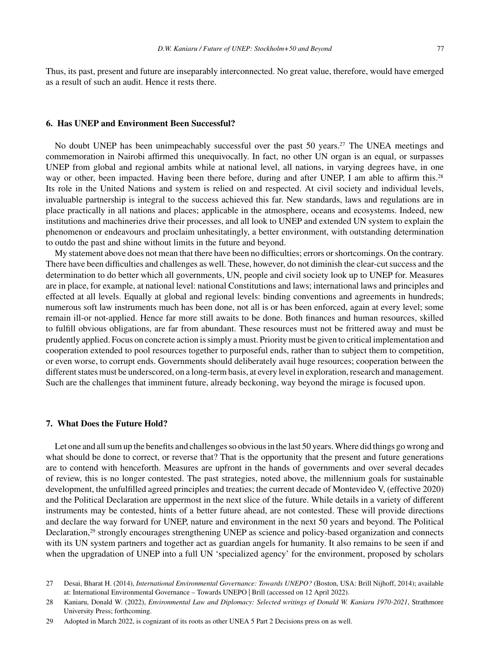Thus, its past, present and future are inseparably interconnected. No great value, therefore, would have emerged as a result of such an audit. Hence it rests there.

#### **6. Has UNEP and Environment Been Successful?**

No doubt UNEP has been unimpeachably successful over the past 50 years.<sup>27</sup> The UNEA meetings and commemoration in Nairobi affirmed this unequivocally. In fact, no other UN organ is an equal, or surpasses UNEP from global and regional ambits while at national level, all nations, in varying degrees have, in one way or other, been impacted. Having been there before, during and after UNEP, I am able to affirm this.<sup>28</sup> Its role in the United Nations and system is relied on and respected. At civil society and individual levels, invaluable partnership is integral to the success achieved this far. New standards, laws and regulations are in place practically in all nations and places; applicable in the atmosphere, oceans and ecosystems. Indeed, new institutions and machineries drive their processes, and all look to UNEP and extended UN system to explain the phenomenon or endeavours and proclaim unhesitatingly, a better environment, with outstanding determination to outdo the past and shine without limits in the future and beyond.

My statement above does not mean that there have been no difficulties; errors or shortcomings. On the contrary. There have been difficulties and challenges as well. These, however, do not diminish the clear-cut success and the determination to do better which all governments, UN, people and civil society look up to UNEP for. Measures are in place, for example, at national level: national Constitutions and laws; international laws and principles and effected at all levels. Equally at global and regional levels: binding conventions and agreements in hundreds; numerous soft law instruments much has been done, not all is or has been enforced, again at every level; some remain ill-or not-applied. Hence far more still awaits to be done. Both finances and human resources, skilled to fulfill obvious obligations, are far from abundant. These resources must not be frittered away and must be prudently applied. Focus on concrete action is simply a must. Priority must be given to critical implementation and cooperation extended to pool resources together to purposeful ends, rather than to subject them to competition, or even worse, to corrupt ends. Governments should deliberately avail huge resources; cooperation between the different states must be underscored, on a long-term basis, at every level in exploration, research and management. Such are the challenges that imminent future, already beckoning, way beyond the mirage is focused upon.

### **7. What Does the Future Hold?**

Let one and all sum up the benefits and challenges so obvious in the last 50 years. Where did things go wrong and what should be done to correct, or reverse that? That is the opportunity that the present and future generations are to contend with henceforth. Measures are upfront in the hands of governments and over several decades of review, this is no longer contested. The past strategies, noted above, the millennium goals for sustainable development, the unfulfilled agreed principles and treaties; the current decade of Montevideo V, (effective 2020) and the Political Declaration are uppermost in the next slice of the future. While details in a variety of different instruments may be contested, hints of a better future ahead, are not contested. These will provide directions and declare the way forward for UNEP, nature and environment in the next 50 years and beyond. The Political Declaration,<sup>29</sup> strongly encourages strengthening UNEP as science and policy-based organization and connects with its UN system partners and together act as guardian angels for humanity. It also remains to be seen if and when the upgradation of UNEP into a full UN 'specialized agency' for the environment, proposed by scholars

<sup>27</sup> Desai, Bharat H. (2014), *International Environmental Governance: Towards UNEPO?* (Boston, USA: Brill Nijhoff, 2014); available at: International Environmental Governance – Towards UNEPO | Brill (accessed on 12 April 2022).

<sup>28</sup> Kaniaru, Donald W. (2022), *Environmental Law and Diplomacy: Selected writings of Donald W. Kaniaru 1970-2021*, Strathmore University Press; forthcoming.

<sup>29</sup> Adopted in March 2022, is cognizant of its roots as other UNEA 5 Part 2 Decisions press on as well.